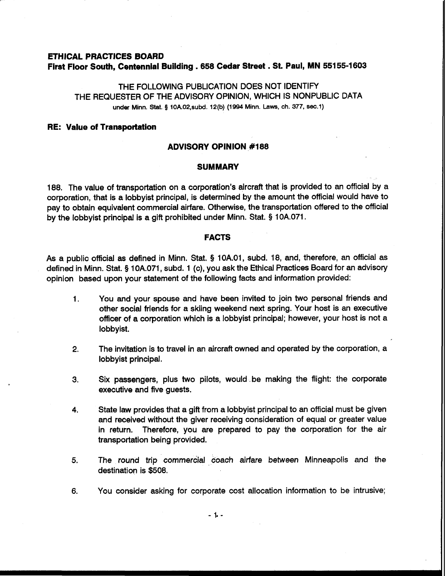# **ETHICAL PRACTICES BOARD First Floor South, Centennial Building .658 Cedar Street** . **St. Paul, MN 551 55-1 603**

THE FOLLOWING PUBLICATION DOES NOT IDENTIFY THE REQUESTER OF THE ADVISORY OPINION, WHICH IS NONPUBLIC DATA **under Minn.** Stat. **5 10A02,subd. 12(b) (1994 Minn. Laws, ch. 377, sec.1)** 

#### **RE: Value of Transportation**

### **ADVISORY OPINION #I88**

### **SUMMARY**

188. The value of transportation on a corporation's aircraft that is provided to an official by a corporation, that is a lobbyist principal, is determined by the amount the official would have to pay to obtain equivalent commercial airfare. Otherwise, the transportation offered to the official by the lobbyist principal is a gift prohibited under Minn. Stat. **9** 10A.071.

# **FACTS**

As a public official as defined in Minn. Stat. **5** 10A.01, subd. 18, and, therefore, an official as defined in Minn. Stat. **5** 10A.071, subd. 1 (c), you ask the Ethical Practices Board for an advisory opinion based upon your statement of the following facts and information provided:

- 1. You and your spouse and have been invited to join two personal friends and other social friends for a skiing weekend next spring. Your host is an executive officer of a corporation which is a lobbyist principal; however, your host is not a lobbyist.
- **2.** The invitation is to travel in an aircraft owned and operated by the corporation, a lobbyist principal.
- **3.** Six passengers, plus two pilots, would. be making the flight: the corporate executive and five guests.
- **4.** State law provides that a gift from a lobbyist principal to an official must be given and received without the giver receiving consideration of equal or greater value in return. Therefore, you are prepared to pay the corporation for the air transportation being provided.
- 5. The round trip commercial coach airfare between Minneapolis and the destination is \$508.
- **6.** You consider asking for corporate cost allocation information to be intrusive;

 $-1 -$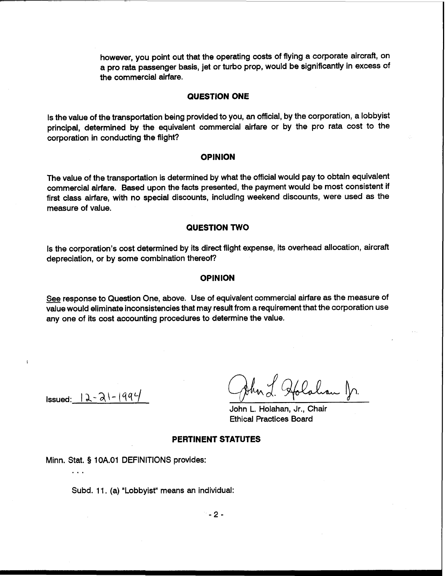however, you point out that the operating costs of flying a corporate aircraft, on a pro rata passenger basis, jet or turbo prop, would be significantly in excess of the commercial airfare.

#### **QUESTION ONE**

Is the value of the transportation being provided to you, an official, by the corporation, a lobbyist principal, determined by the equivalent commercial airfare or by the pro rata cost to the corporation in conducting the flight?

### **OPINION**

The value of the transportation is determined by what the official would pay to obtain equivalent commercial airfare. Based upon the facts presented, the payment would be most consistent if first class airfare, with no special discounts, including weekend discounts, were used as the measure of value.

# **QUESTION TWO**

Is the corporation's cost determined by its direct flight expense, its overhead allocation, aircraft depreciation, or by some combination thereof?

# **OPINION**

See response to Question One, above. Use of equivalent commercial airfare as the measure of value would eliminate inconsistencies that may result from a requirement that the corporation use any one of its cost accounting procedures to determine the value.

 $Issued: 12 - 21 - 1994$ 

...

 $\overline{\mathbf{A}}$ 

J. Holahan Jr.

John L. Holahan, Jr., Chair Ethical Practices Board

# **PERTINENT STATUTES**

Minn. Stat. **9** 1 OA.O1 DEFINITIONS provides:

Subd. 11. (a) "Lobbyist" means an individual: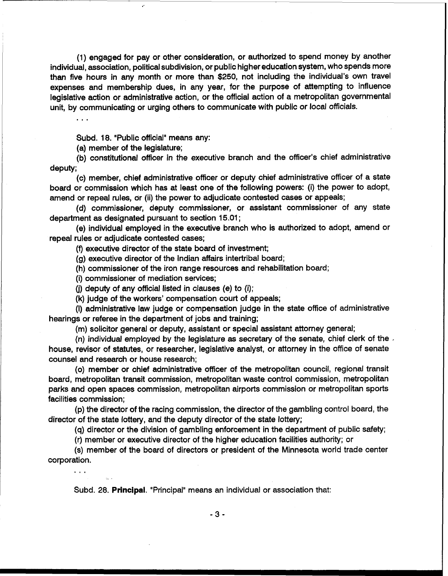(1) engaged for pay or other consideration, or authorized to spend money by another individual, association, political subdivision, or public higher education system, who spends more than five hours in any month or more than \$250, not including the individual's own travel expenses and membership dues, in any year, for the purpose of attempting to influence legislative action or administrative action, or the official action of a metropolitan governmental unit, by communicating or urging others to communicate with public or local officials.

Subd. 18. "Public official" means any:

(a) member of the legislature;

 $\mathbf{1}$ 

 $\sim 100$ 

(b) constitutional officer in the executive branch and the officer's chief administrative deputy;

(c) member, chief administrative officer or deputy chief administrative officer of a state board or commission which has at least one of the following powers: (i) the power to adopt, amend or repeal rules, or (ii) the power to adjudicate contested cases or appeals;

(d) commissioner, deputy commissioner, or assistant commissioner of any state department as designated pursuant to section 15.01 ;

(e) individual employed in the executive branch who is authorized to adopt, amend or repeal rules or adjudicate contested cases;

(f) executive director of the state board of investment;

(g) executive director of the Indian affairs intertribal board;

(h) commissioner of the iron range resources and rehabilitation board;

(i) commissioner of mediation services;

(i) deputy of any official listed in clauses (e) to (i);

(k) judge of the workers' compensation court of appeals;

(I) administrative law judge or compensation judge in the state office of administrative hearings or referee in the department of jobs and training;

(m) solicitor general or deputy, assistant or special assistant attorney general;

(n) individual employed by the legislature as secretary of the senate, chief clerk of the , house, revisor of statutes, or researcher, legislative analyst, or attorney in the office of senate counsel and research or house research;

(0) member or chief administrative officer of the metropolitan council, regional transit board, metropolitan transit commission, metropolitan waste control commission, metropolitan parks and open spaces commission, metropolitan airports commission or metropolitan sports facilities commission;

(p) the director of the racing commission, the director of the gambling control board, the director of the state lottery, and the deputy director of the state lottery;

(q) director or the division of gambling enforcement in the department of public safety;

(r) member or executive director of the higher education facilities authority; or

(s) member of the board of directors or president of the Minnesota world trade center corporation.

Subd. 28. Principal. "Principal" means an individual or association that: